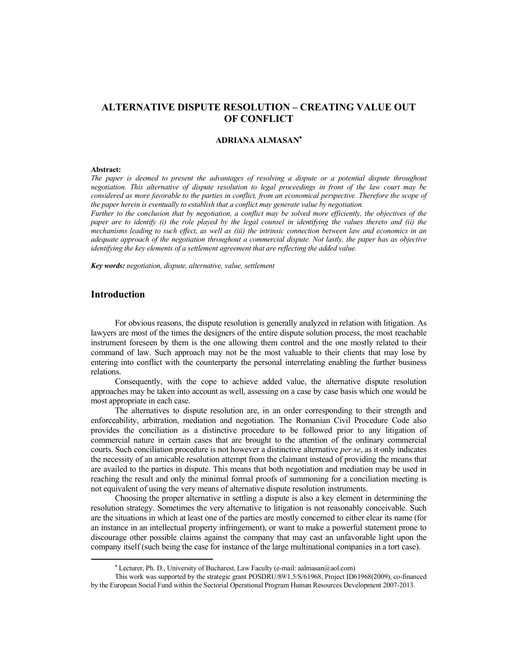# **ALTERNATIVE DISPUTE RESOLUTION – CREATING VALUE OUT OF CONFLICT**

## **ADRIANA ALMASAN**

#### **Abstract:**

*The paper is deemed to present the advantages of resolving a dispute or a potential dispute throughout negotiation. This alternative of dispute resolution to legal proceedings in front of the law court may be considered as more favorable to the parties in conflict, from an economical perspective. Therefore the scope of the paper herein is eventually to establish that a conflict may generate value by negotiation.* 

*Further to the conclusion that by negotiation, a conflict may be solved more efficiently, the objectives of the paper are to identify (i) the role played by the legal counsel in identifying the values thereto and (ii) the mechanisms leading to such effect, as well as (iii) the intrinsic connection between law and economics in an adequate approach of the negotiation throughout a commercial dispute. Not lastly, the paper has as objective identifying the key elements of a settlement agreement that are reflecting the added value.* 

*Key words: negotiation, dispute, alternative, value, settlement* 

## **Introduction**

For obvious reasons, the dispute resolution is generally analyzed in relation with litigation. As lawyers are most of the times the designers of the entire dispute solution process, the most reachable instrument foreseen by them is the one allowing them control and the one mostly related to their command of law. Such approach may not be the most valuable to their clients that may lose by entering into conflict with the counterparty the personal interrelating enabling the further business relations.

Consequently, with the cope to achieve added value, the alternative dispute resolution approaches may be taken into account as well, assessing on a case by case basis which one would be most appropriate in each case.

The alternatives to dispute resolution are, in an order corresponding to their strength and enforceability, arbitration, mediation and negotiation. The Romanian Civil Procedure Code also provides the conciliation as a distinctive procedure to be followed prior to any litigation of commercial nature in certain cases that are brought to the attention of the ordinary commercial courts. Such conciliation procedure is not however a distinctive alternative *per se*, as it only indicates the necessity of an amicable resolution attempt from the claimant instead of providing the means that are availed to the parties in dispute. This means that both negotiation and mediation may be used in reaching the result and only the minimal formal proofs of summoning for a conciliation meeting is not equivalent of using the very means of alternative dispute resolution instruments.

Choosing the proper alternative in settling a dispute is also a key element in determining the resolution strategy. Sometimes the very alternative to litigation is not reasonably conceivable. Such are the situations in which at least one of the parties are mostly concerned to either clear its name (for an instance in an intellectual property infringement), or want to make a powerful statement prone to discourage other possible claims against the company that may cast an unfavorable light upon the company itself (such being the case for instance of the large multinational companies in a tort case).

Lecturer, Ph. D., University of Bucharest, Law Faculty (e-mail: aalmasan@aol.com)

This work was supported by the strategic grant POSDRU/89/1.5/S/61968, Project ID61968(2009), co-financed by the European Social Fund within the Sectorial Operational Program Human Resources Development 2007-2013.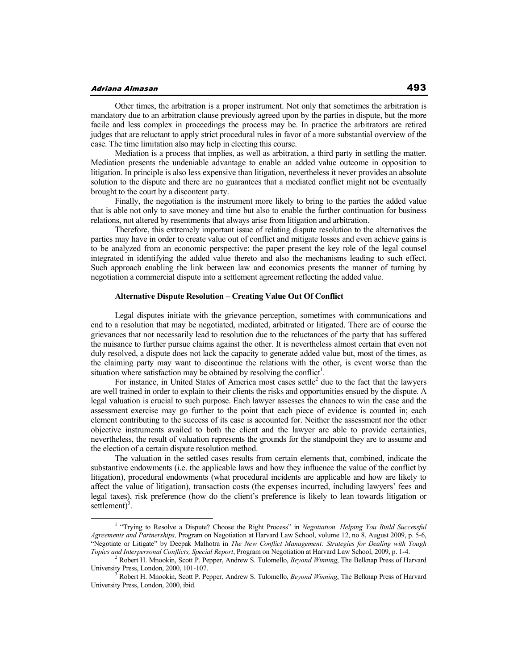### Adriana Almasan

Other times, the arbitration is a proper instrument. Not only that sometimes the arbitration is mandatory due to an arbitration clause previously agreed upon by the parties in dispute, but the more facile and less complex in proceedings the process may be. In practice the arbitrators are retired judges that are reluctant to apply strict procedural rules in favor of a more substantial overview of the case. The time limitation also may help in electing this course.

Mediation is a process that implies, as well as arbitration, a third party in settling the matter. Mediation presents the undeniable advantage to enable an added value outcome in opposition to litigation. In principle is also less expensive than litigation, nevertheless it never provides an absolute solution to the dispute and there are no guarantees that a mediated conflict might not be eventually brought to the court by a discontent party.

Finally, the negotiation is the instrument more likely to bring to the parties the added value that is able not only to save money and time but also to enable the further continuation for business relations, not altered by resentments that always arise from litigation and arbitration.

Therefore, this extremely important issue of relating dispute resolution to the alternatives the parties may have in order to create value out of conflict and mitigate losses and even achieve gains is to be analyzed from an economic perspective: the paper present the key role of the legal counsel integrated in identifying the added value thereto and also the mechanisms leading to such effect. Such approach enabling the link between law and economics presents the manner of turning by negotiation a commercial dispute into a settlement agreement reflecting the added value.

## **Alternative Dispute Resolution – Creating Value Out Of Conflict**

Legal disputes initiate with the grievance perception, sometimes with communications and end to a resolution that may be negotiated, mediated, arbitrated or litigated. There are of course the grievances that not necessarily lead to resolution due to the reluctances of the party that has suffered the nuisance to further pursue claims against the other. It is nevertheless almost certain that even not duly resolved, a dispute does not lack the capacity to generate added value but, most of the times, as the claiming party may want to discontinue the relations with the other, is event worse than the situation where satisfaction may be obtained by resolving the conflict<sup>1</sup>.

For instance, in United States of America most cases settle<sup>2</sup> due to the fact that the lawyers are well trained in order to explain to their clients the risks and opportunities ensued by the dispute. A legal valuation is crucial to such purpose. Each lawyer assesses the chances to win the case and the assessment exercise may go further to the point that each piece of evidence is counted in; each element contributing to the success of its case is accounted for. Neither the assessment nor the other objective instruments availed to both the client and the lawyer are able to provide certainties, nevertheless, the result of valuation represents the grounds for the standpoint they are to assume and the election of a certain dispute resolution method.

The valuation in the settled cases results from certain elements that, combined, indicate the substantive endowments (i.e. the applicable laws and how they influence the value of the conflict by litigation), procedural endowments (what procedural incidents are applicable and how are likely to affect the value of litigation), transaction costs (the expenses incurred, including lawyers' fees and legal taxes), risk preference (how do the client's preference is likely to lean towards litigation or settlement $)^3$ .

<sup>&</sup>lt;sup>1</sup> "Trying to Resolve a Dispute? Choose the Right Process" in *Negotiation, Helping You Build Successful Agreements and Partnerships,* Program on Negotiation at Harvard Law School, volume 12, no 8, August 2009, p. 5-6, "Negotiate or Litigate" by Deepak Malhotra in *The New Conflict Management: Strategies for Dealing with Tough Topics and Interpersonal Conflicts, Special Report*, Program on Negotiation at Harvard Law School, 2009, p. 1-4.

<sup>2</sup> Robert H. Mnookin, Scott P. Pepper, Andrew S. Tulomello, *Beyond Winning*, The Belknap Press of Harvard University Press, London, 2000, 101-107.

Robert H. Mnookin, Scott P. Pepper, Andrew S. Tulomello, *Beyond Winning*, The Belknap Press of Harvard University Press, London, 2000, ibid.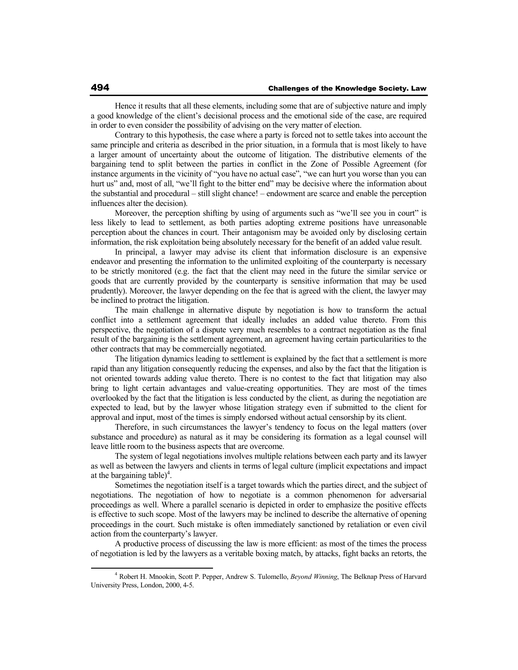Hence it results that all these elements, including some that are of subjective nature and imply a good knowledge of the client's decisional process and the emotional side of the case, are required in order to even consider the possibility of advising on the very matter of election.

Contrary to this hypothesis, the case where a party is forced not to settle takes into account the same principle and criteria as described in the prior situation, in a formula that is most likely to have a larger amount of uncertainty about the outcome of litigation. The distributive elements of the bargaining tend to split between the parties in conflict in the Zone of Possible Agreement (for instance arguments in the vicinity of "you have no actual case", "we can hurt you worse than you can hurt us" and, most of all, "we'll fight to the bitter end" may be decisive where the information about the substantial and procedural – still slight chance! – endowment are scarce and enable the perception influences alter the decision).

Moreover, the perception shifting by using of arguments such as "we'll see you in court" is less likely to lead to settlement, as both parties adopting extreme positions have unreasonable perception about the chances in court. Their antagonism may be avoided only by disclosing certain information, the risk exploitation being absolutely necessary for the benefit of an added value result.

In principal, a lawyer may advise its client that information disclosure is an expensive endeavor and presenting the information to the unlimited exploiting of the counterparty is necessary to be strictly monitored (e.g. the fact that the client may need in the future the similar service or goods that are currently provided by the counterparty is sensitive information that may be used prudently). Moreover, the lawyer depending on the fee that is agreed with the client, the lawyer may be inclined to protract the litigation.

The main challenge in alternative dispute by negotiation is how to transform the actual conflict into a settlement agreement that ideally includes an added value thereto. From this perspective, the negotiation of a dispute very much resembles to a contract negotiation as the final result of the bargaining is the settlement agreement, an agreement having certain particularities to the other contracts that may be commercially negotiated.

The litigation dynamics leading to settlement is explained by the fact that a settlement is more rapid than any litigation consequently reducing the expenses, and also by the fact that the litigation is not oriented towards adding value thereto. There is no contest to the fact that litigation may also bring to light certain advantages and value-creating opportunities. They are most of the times overlooked by the fact that the litigation is less conducted by the client, as during the negotiation are expected to lead, but by the lawyer whose litigation strategy even if submitted to the client for approval and input, most of the times is simply endorsed without actual censorship by its client.

Therefore, in such circumstances the lawyer's tendency to focus on the legal matters (over substance and procedure) as natural as it may be considering its formation as a legal counsel will leave little room to the business aspects that are overcome.

The system of legal negotiations involves multiple relations between each party and its lawyer as well as between the lawyers and clients in terms of legal culture (implicit expectations and impact at the bargaining table)<sup>4</sup>.

Sometimes the negotiation itself is a target towards which the parties direct, and the subject of negotiations. The negotiation of how to negotiate is a common phenomenon for adversarial proceedings as well. Where a parallel scenario is depicted in order to emphasize the positive effects is effective to such scope. Most of the lawyers may be inclined to describe the alternative of opening proceedings in the court. Such mistake is often immediately sanctioned by retaliation or even civil action from the counterparty's lawyer.

A productive process of discussing the law is more efficient: as most of the times the process of negotiation is led by the lawyers as a veritable boxing match, by attacks, fight backs an retorts, the

<sup>4</sup> Robert H. Mnookin, Scott P. Pepper, Andrew S. Tulomello, *Beyond Winning*, The Belknap Press of Harvard University Press, London, 2000, 4-5.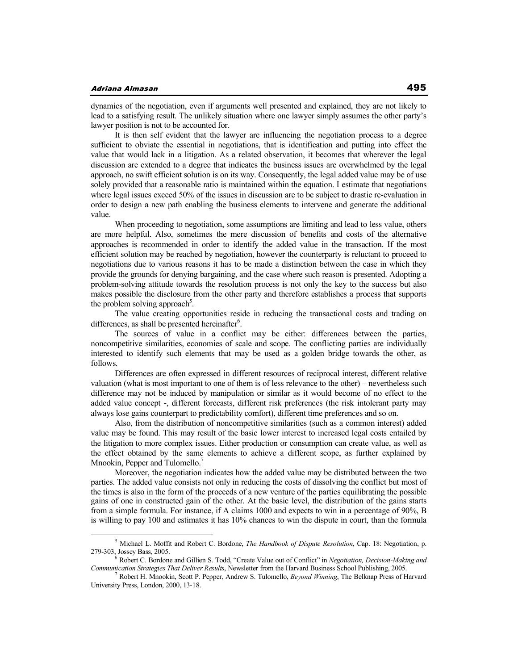### Adriana Almasan

dynamics of the negotiation, even if arguments well presented and explained, they are not likely to lead to a satisfying result. The unlikely situation where one lawyer simply assumes the other party's lawyer position is not to be accounted for.

It is then self evident that the lawyer are influencing the negotiation process to a degree sufficient to obviate the essential in negotiations, that is identification and putting into effect the value that would lack in a litigation. As a related observation, it becomes that wherever the legal discussion are extended to a degree that indicates the business issues are overwhelmed by the legal approach, no swift efficient solution is on its way. Consequently, the legal added value may be of use solely provided that a reasonable ratio is maintained within the equation. I estimate that negotiations where legal issues exceed 50% of the issues in discussion are to be subject to drastic re-evaluation in order to design a new path enabling the business elements to intervene and generate the additional value.

When proceeding to negotiation, some assumptions are limiting and lead to less value, others are more helpful. Also, sometimes the mere discussion of benefits and costs of the alternative approaches is recommended in order to identify the added value in the transaction. If the most efficient solution may be reached by negotiation, however the counterparty is reluctant to proceed to negotiations due to various reasons it has to be made a distinction between the case in which they provide the grounds for denying bargaining, and the case where such reason is presented. Adopting a problem-solving attitude towards the resolution process is not only the key to the success but also makes possible the disclosure from the other party and therefore establishes a process that supports the problem solving approach<sup>5</sup>.

The value creating opportunities reside in reducing the transactional costs and trading on differences, as shall be presented hereinafter $6$ .

The sources of value in a conflict may be either: differences between the parties, noncompetitive similarities, economies of scale and scope. The conflicting parties are individually interested to identify such elements that may be used as a golden bridge towards the other, as follows.

Differences are often expressed in different resources of reciprocal interest, different relative valuation (what is most important to one of them is of less relevance to the other) – nevertheless such difference may not be induced by manipulation or similar as it would become of no effect to the added value concept -, different forecasts, different risk preferences (the risk intolerant party may always lose gains counterpart to predictability comfort), different time preferences and so on.

Also, from the distribution of noncompetitive similarities (such as a common interest) added value may be found. This may result of the basic lower interest to increased legal costs entailed by the litigation to more complex issues. Either production or consumption can create value, as well as the effect obtained by the same elements to achieve a different scope, as further explained by Mnookin, Pepper and Tulomello.<sup>7</sup>

Moreover, the negotiation indicates how the added value may be distributed between the two parties. The added value consists not only in reducing the costs of dissolving the conflict but most of the times is also in the form of the proceeds of a new venture of the parties equilibrating the possible gains of one in constructed gain of the other. At the basic level, the distribution of the gains starts from a simple formula. For instance, if A claims 1000 and expects to win in a percentage of 90%, B is willing to pay 100 and estimates it has 10% chances to win the dispute in court, than the formula

<sup>5</sup> Michael L. Moffit and Robert C. Bordone, *The Handbook of Dispute Resolution*, Cap. 18: Negotiation, p. 279-303, Jossey Bass, 2005.

<sup>6</sup> Robert C. Bordone and Gillien S. Todd, "Create Value out of Conflict" in *Negotiation, Decision-Making and Communication Strategies That Deliver Results*, Newsletter from the Harvard Business School Publishing, 2005.

<sup>7</sup> Robert H. Mnookin, Scott P. Pepper, Andrew S. Tulomello, *Beyond Winning*, The Belknap Press of Harvard University Press, London, 2000, 13-18.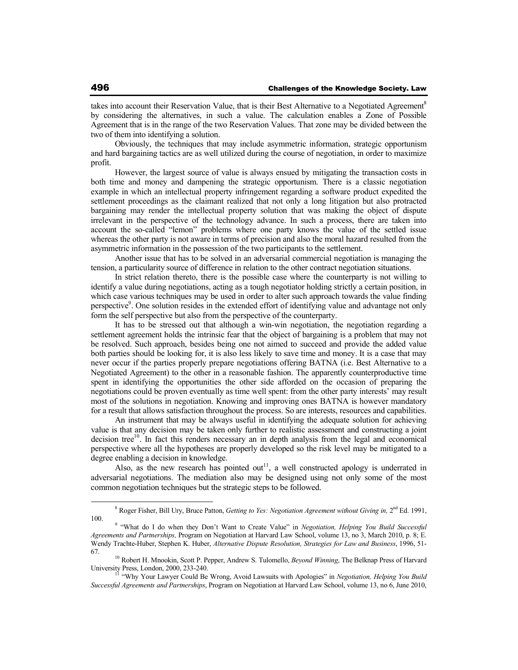takes into account their Reservation Value, that is their Best Alternative to a Negotiated Agreement<sup>8</sup> by considering the alternatives, in such a value. The calculation enables a Zone of Possible Agreement that is in the range of the two Reservation Values. That zone may be divided between the two of them into identifying a solution.

Obviously, the techniques that may include asymmetric information, strategic opportunism and hard bargaining tactics are as well utilized during the course of negotiation, in order to maximize profit.

However, the largest source of value is always ensued by mitigating the transaction costs in both time and money and dampening the strategic opportunism. There is a classic negotiation example in which an intellectual property infringement regarding a software product expedited the settlement proceedings as the claimant realized that not only a long litigation but also protracted bargaining may render the intellectual property solution that was making the object of dispute irrelevant in the perspective of the technology advance. In such a process, there are taken into account the so-called "lemon" problems where one party knows the value of the settled issue whereas the other party is not aware in terms of precision and also the moral hazard resulted from the asymmetric information in the possession of the two participants to the settlement.

Another issue that has to be solved in an adversarial commercial negotiation is managing the tension, a particularity source of difference in relation to the other contract negotiation situations.

In strict relation thereto, there is the possible case where the counterparty is not willing to identify a value during negotiations, acting as a tough negotiator holding strictly a certain position, in which case various techniques may be used in order to alter such approach towards the value finding perspective<sup>9</sup>. One solution resides in the extended effort of identifying value and advantage not only form the self perspective but also from the perspective of the counterparty.

It has to be stressed out that although a win-win negotiation, the negotiation regarding a settlement agreement holds the intrinsic fear that the object of bargaining is a problem that may not be resolved. Such approach, besides being one not aimed to succeed and provide the added value both parties should be looking for, it is also less likely to save time and money. It is a case that may never occur if the parties properly prepare negotiations offering BATNA (i.e. Best Alternative to a Negotiated Agreement) to the other in a reasonable fashion. The apparently counterproductive time spent in identifying the opportunities the other side afforded on the occasion of preparing the negotiations could be proven eventually as time well spent: from the other party interests' may result most of the solutions in negotiation. Knowing and improving ones BATNA is however mandatory for a result that allows satisfaction throughout the process. So are interests, resources and capabilities.

An instrument that may be always useful in identifying the adequate solution for achieving value is that any decision may be taken only further to realistic assessment and constructing a joint decision tree<sup>10</sup>. In fact this renders necessary an in depth analysis from the legal and economical perspective where all the hypotheses are properly developed so the risk level may be mitigated to a degree enabling a decision in knowledge.

Also, as the new research has pointed out<sup>11</sup>, a well constructed apology is underrated in adversarial negotiations. The mediation also may be designed using not only some of the most common negotiation techniques but the strategic steps to be followed.

<sup>&</sup>lt;sup>8</sup> Roger Fisher, Bill Ury, Bruce Patton, *Getting to Yes: Negotiation Agreement without Giving in*, 2<sup>nd</sup> Ed. 1991, 100.

<sup>&</sup>lt;sup>9</sup> "What do I do when they Don't Want to Create Value" in *Negotiation, Helping You Build Successful Agreements and Partnerships,* Program on Negotiation at Harvard Law School, volume 13, no 3, March 2010, p. 8; E. Wendy Trachte-Huber, Stephen K. Huber, *Alternative Dispute Resolution, Strategies for Law and Business*, 1996, 51- 67.

<sup>10</sup> Robert H. Mnookin, Scott P. Pepper, Andrew S. Tulomello, *Beyond Winning*, The Belknap Press of Harvard University Press, London, 2000, 233-240. <sup>11</sup> "Why Your Lawyer Could Be Wrong, Avoid Lawsuits with Apologies" in *Negotiation, Helping You Build* 

*Successful Agreements and Partnerships*, Program on Negotiation at Harvard Law School, volume 13, no 6, June 2010,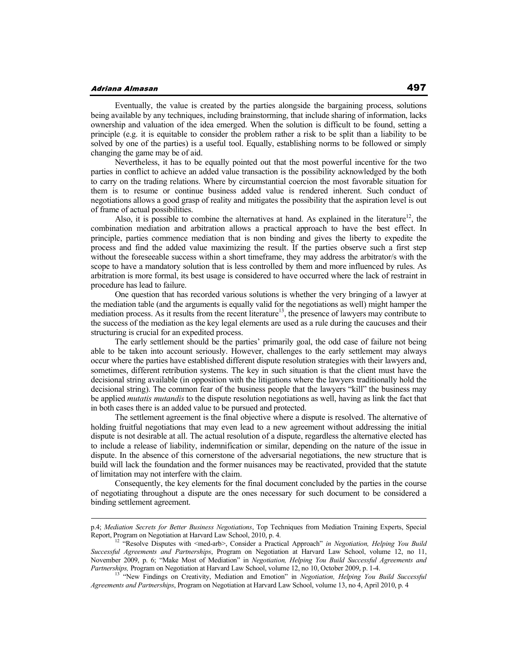### Adriana Almasan

Eventually, the value is created by the parties alongside the bargaining process, solutions being available by any techniques, including brainstorming, that include sharing of information, lacks ownership and valuation of the idea emerged. When the solution is difficult to be found, setting a principle (e.g. it is equitable to consider the problem rather a risk to be split than a liability to be solved by one of the parties) is a useful tool. Equally, establishing norms to be followed or simply changing the game may be of aid.

Nevertheless, it has to be equally pointed out that the most powerful incentive for the two parties in conflict to achieve an added value transaction is the possibility acknowledged by the both to carry on the trading relations. Where by circumstantial coercion the most favorable situation for them is to resume or continue business added value is rendered inherent. Such conduct of negotiations allows a good grasp of reality and mitigates the possibility that the aspiration level is out of frame of actual possibilities.

Also, it is possible to combine the alternatives at hand. As explained in the literature<sup>12</sup>, the combination mediation and arbitration allows a practical approach to have the best effect. In principle, parties commence mediation that is non binding and gives the liberty to expedite the process and find the added value maximizing the result. If the parties observe such a first step without the foreseeable success within a short timeframe, they may address the arbitrator/s with the scope to have a mandatory solution that is less controlled by them and more influenced by rules. As arbitration is more formal, its best usage is considered to have occurred where the lack of restraint in procedure has lead to failure.

One question that has recorded various solutions is whether the very bringing of a lawyer at the mediation table (and the arguments is equally valid for the negotiations as well) might hamper the mediation process. As it results from the recent literature<sup>13</sup>, the presence of lawyers may contribute to the success of the mediation as the key legal elements are used as a rule during the caucuses and their structuring is crucial for an expedited process.

The early settlement should be the parties' primarily goal, the odd case of failure not being able to be taken into account seriously. However, challenges to the early settlement may always occur where the parties have established different dispute resolution strategies with their lawyers and, sometimes, different retribution systems. The key in such situation is that the client must have the decisional string available (in opposition with the litigations where the lawyers traditionally hold the decisional string). The common fear of the business people that the lawyers "kill" the business may be applied *mutatis mutandis* to the dispute resolution negotiations as well, having as link the fact that in both cases there is an added value to be pursued and protected.

The settlement agreement is the final objective where a dispute is resolved. The alternative of holding fruitful negotiations that may even lead to a new agreement without addressing the initial dispute is not desirable at all. The actual resolution of a dispute, regardless the alternative elected has to include a release of liability, indemnification or similar, depending on the nature of the issue in dispute. In the absence of this cornerstone of the adversarial negotiations, the new structure that is build will lack the foundation and the former nuisances may be reactivated, provided that the statute of limitation may not interfere with the claim.

Consequently, the key elements for the final document concluded by the parties in the course of negotiating throughout a dispute are the ones necessary for such document to be considered a binding settlement agreement.

p.4; *Mediation Secrets for Better Business Negotiations*, Top Techniques from Mediation Training Experts, Special Report, Program on Negotiation at Harvard Law School, 2010, p. 4.

<sup>&</sup>lt;sup>12</sup> "Resolve Disputes with <med-arb>, Consider a Practical Approach" *in Negotiation, Helping You Build Successful Agreements and Partnerships*, Program on Negotiation at Harvard Law School, volume 12, no 11, November 2009, p. 6; "Make Most of Mediation" in *Negotiation, Helping You Build Successful Agreements and Partnerships,* Program on Negotiation at Harvard Law School, volume 12, no 10, October 2009, p. 1-4.

<sup>13</sup> "New Findings on Creativity, Mediation and Emotion" in *Negotiation, Helping You Build Successful Agreements and Partnerships*, Program on Negotiation at Harvard Law School, volume 13, no 4, April 2010, p. 4